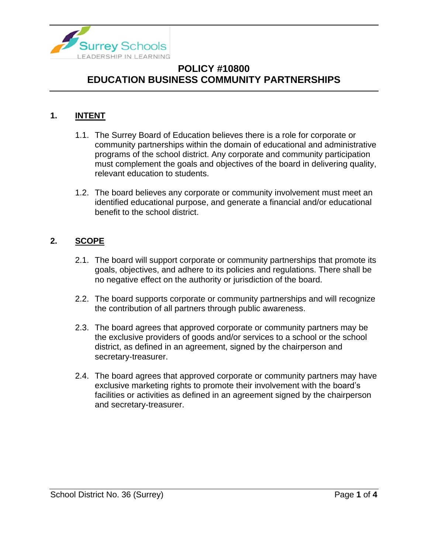

#### **1. INTENT**

- 1.1. The Surrey Board of Education believes there is a role for corporate or community partnerships within the domain of educational and administrative programs of the school district. Any corporate and community participation must complement the goals and objectives of the board in delivering quality, relevant education to students.
- 1.2. The board believes any corporate or community involvement must meet an identified educational purpose, and generate a financial and/or educational benefit to the school district.

### **2. SCOPE**

- 2.1. The board will support corporate or community partnerships that promote its goals, objectives, and adhere to its policies and regulations. There shall be no negative effect on the authority or jurisdiction of the board.
- 2.2. The board supports corporate or community partnerships and will recognize the contribution of all partners through public awareness.
- 2.3. The board agrees that approved corporate or community partners may be the exclusive providers of goods and/or services to a school or the school district, as defined in an agreement, signed by the chairperson and secretary-treasurer.
- 2.4. The board agrees that approved corporate or community partners may have exclusive marketing rights to promote their involvement with the board's facilities or activities as defined in an agreement signed by the chairperson and secretary-treasurer.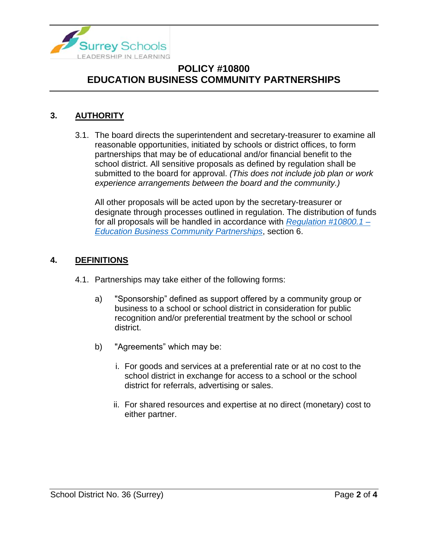

#### **3. AUTHORITY**

3.1. The board directs the superintendent and secretary-treasurer to examine all reasonable opportunities, initiated by schools or district offices, to form partnerships that may be of educational and/or financial benefit to the school district. All sensitive proposals as defined by regulation shall be submitted to the board for approval. *(This does not include job plan or work experience arrangements between the board and the community.)*

All other proposals will be acted upon by the secretary-treasurer or designate through processes outlined in regulation. The distribution of funds for all proposals will be handled in accordance with *[Regulation #10800.1 –](https://www.surreyschools.ca/departments/SECT/PoliciesRegulations/section_10000/Documents/10800.1%20Regulation.pdf) [Education Business Community Partnerships](https://www.surreyschools.ca/departments/SECT/PoliciesRegulations/section_10000/Documents/10800.1%20Regulation.pdf)*, section 6.

#### **4. DEFINITIONS**

- 4.1. Partnerships may take either of the following forms:
	- a) "Sponsorship" defined as support offered by a community group or business to a school or school district in consideration for public recognition and/or preferential treatment by the school or school district.
	- b) "Agreements" which may be:
		- i. For goods and services at a preferential rate or at no cost to the school district in exchange for access to a school or the school district for referrals, advertising or sales.
		- ii. For shared resources and expertise at no direct (monetary) cost to either partner.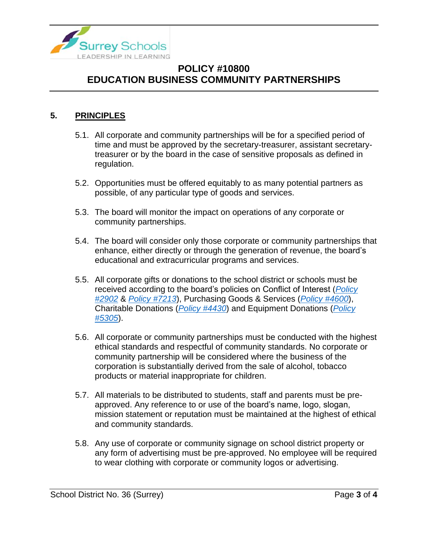

#### **5. PRINCIPLES**

- 5.1. All corporate and community partnerships will be for a specified period of time and must be approved by the secretary-treasurer, assistant secretarytreasurer or by the board in the case of sensitive proposals as defined in regulation.
- 5.2. Opportunities must be offered equitably to as many potential partners as possible, of any particular type of goods and services.
- 5.3. The board will monitor the impact on operations of any corporate or community partnerships.
- 5.4. The board will consider only those corporate or community partnerships that enhance, either directly or through the generation of revenue, the board's educational and extracurricular programs and services.
- 5.5. All corporate gifts or donations to the school district or schools must be received according to the board's policies on Conflict of Interest (*[Policy](https://www.surreyschools.ca/departments/SECT/PoliciesRegulations/section_2000/Documents/2902%20Policy.pdf)  [#2902](https://www.surreyschools.ca/departments/SECT/PoliciesRegulations/section_2000/Documents/2902%20Policy.pdf)* & *[Policy #7213](https://www.surreyschools.ca/departments/SECT/PoliciesRegulations/section_7000/Documents/7213%20Policy.pdf)*), Purchasing Goods & Services (*[Policy #4600](https://www.surreyschools.ca/departments/SECT/PoliciesRegulations/section_4000/Documents/4600%20Policy.pdf)*), Charitable Donations (*[Policy #4430](https://www.surreyschools.ca/departments/SECT/PoliciesRegulations/section_4000/Documents/4430%20Policy.pdf)*) and Equipment Donations (*[Policy](https://www.surreyschools.ca/departments/SECT/PoliciesRegulations/section_5000/Documents/5305%20Policy.pdf)  [#5305](https://www.surreyschools.ca/departments/SECT/PoliciesRegulations/section_5000/Documents/5305%20Policy.pdf)*).
- 5.6. All corporate or community partnerships must be conducted with the highest ethical standards and respectful of community standards. No corporate or community partnership will be considered where the business of the corporation is substantially derived from the sale of alcohol, tobacco products or material inappropriate for children.
- 5.7. All materials to be distributed to students, staff and parents must be preapproved. Any reference to or use of the board's name, logo, slogan, mission statement or reputation must be maintained at the highest of ethical and community standards.
- 5.8. Any use of corporate or community signage on school district property or any form of advertising must be pre-approved. No employee will be required to wear clothing with corporate or community logos or advertising.